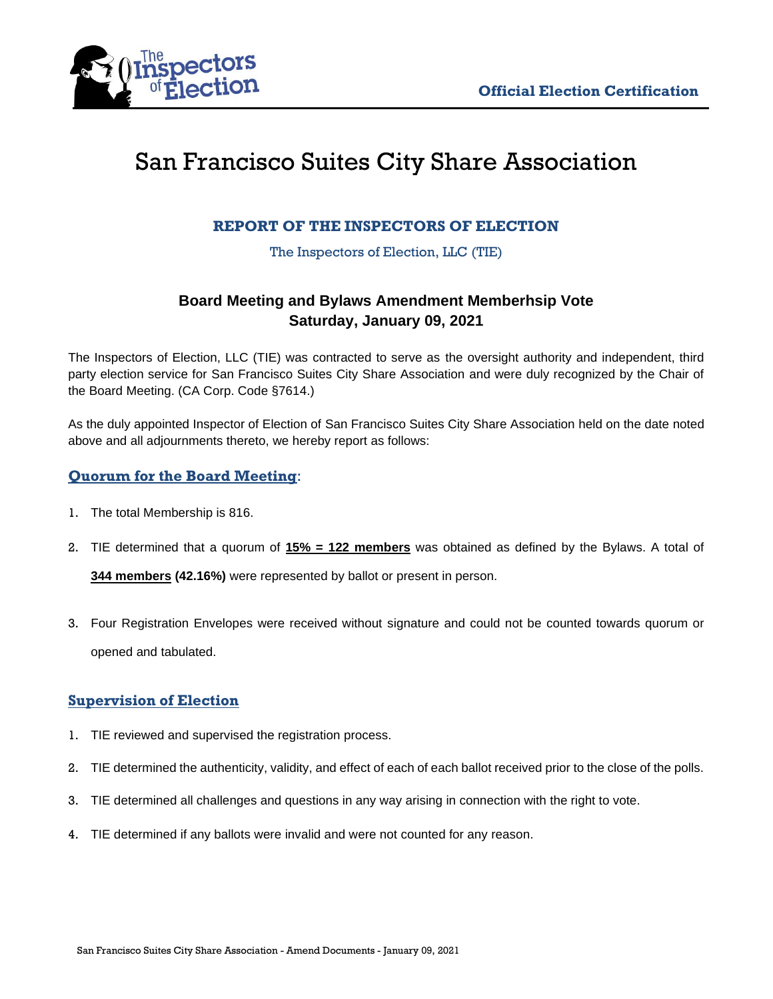

# San Francisco Suites City Share Association

# **REPORT OF THE INSPECTORS OF ELECTION**

The Inspectors of Election, LLC (TIE)

# **Board Meeting and Bylaws Amendment Memberhsip Vote Saturday, January 09, 2021**

The Inspectors of Election, LLC (TIE) was contracted to serve as the oversight authority and independent, third party election service for San Francisco Suites City Share Association and were duly recognized by the Chair of the Board Meeting. (CA Corp. Code §7614.)

As the duly appointed Inspector of Election of San Francisco Suites City Share Association held on the date noted above and all adjournments thereto, we hereby report as follows:

### **Quorum for the Board Meeting**:

- 1. The total Membership is 816.
- 2. TIE determined that a quorum of **15% = 122 members** was obtained as defined by the Bylaws. A total of **344 members (42.16%)** were represented by ballot or present in person.
- 3. Four Registration Envelopes were received without signature and could not be counted towards quorum or opened and tabulated.

# **Supervision of Election**

- 1. TIE reviewed and supervised the registration process.
- 2. TIE determined the authenticity, validity, and effect of each of each ballot received prior to the close of the polls.
- 3. TIE determined all challenges and questions in any way arising in connection with the right to vote.
- 4. TIE determined if any ballots were invalid and were not counted for any reason.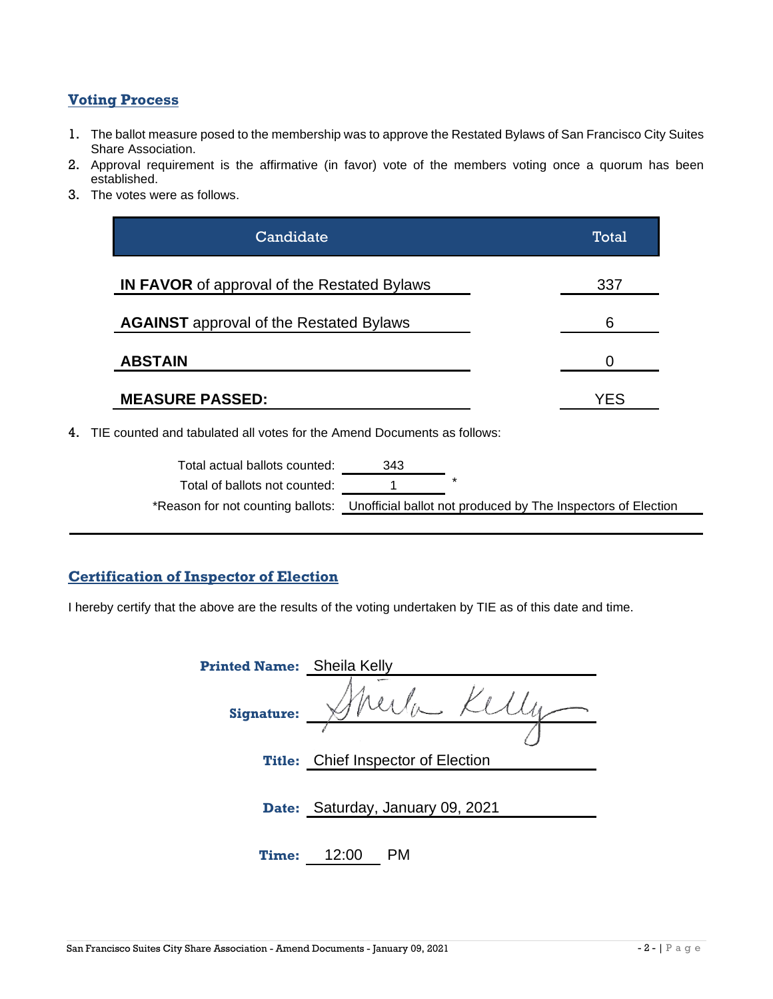### **Voting Process**

- 1. The ballot measure posed to the membership was to approve the Restated Bylaws of San Francisco City Suites Share Association.
- 2. Approval requirement is the affirmative (in favor) vote of the members voting once a quorum has been established.
- 3. The votes were as follows.

| Candidate                                          | Total |
|----------------------------------------------------|-------|
| <b>IN FAVOR</b> of approval of the Restated Bylaws | 337   |
| <b>AGAINST</b> approval of the Restated Bylaws     | 6     |
| <b>ABSTAIN</b>                                     | O     |
| <b>MEASURE PASSED:</b>                             | YES   |
|                                                    |       |

4. TIE counted and tabulated all votes for the Amend Documents as follows:

| Total actual ballots counted: | 343                                                                                            |  |
|-------------------------------|------------------------------------------------------------------------------------------------|--|
| Total of ballots not counted: |                                                                                                |  |
|                               | *Reason for not counting ballots: Unofficial ballot not produced by The Inspectors of Election |  |

#### **Certification of Inspector of Election**

I hereby certify that the above are the results of the voting undertaken by TIE as of this date and time.

| <b>Printed Name:</b> | Sheila Kelly                       |
|----------------------|------------------------------------|
| <b>Signature:</b>    | Kel                                |
| <b>Title:</b>        | <b>Chief Inspector of Election</b> |
|                      |                                    |
| Date:                | Saturday, January 09, 2021         |
| <b>Time:</b>         | 12:00                              |